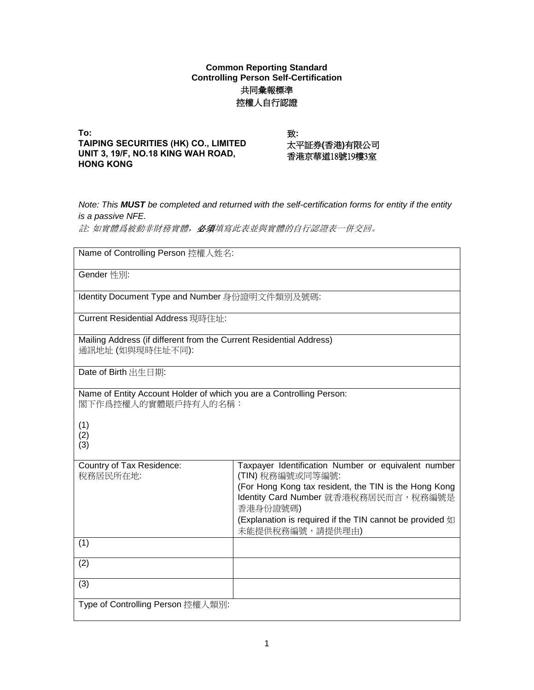## **Common Reporting Standard Controlling Person Self-Certification** 共同彙報標準 控權人自行認證

**To: TAIPING SECURITIES (HK) CO., LIMITED UNIT 3, 19/F, NO.18 KING WAH ROAD, HONG KONG**

致: 太平証券**(**香港**)**有限公司 香港京華道18號19樓3室

*Note: This MUST be completed and returned with the self-certification forms for entity if the entity is a passive NFE.* 

註*:* 如實體爲被動非財務實體,必須填寫此表並與實體的自行認證表一併交回。

| Name of Controlling Person 控權人姓名:                                                           |                                                                                                                                                                                                                                                                      |
|---------------------------------------------------------------------------------------------|----------------------------------------------------------------------------------------------------------------------------------------------------------------------------------------------------------------------------------------------------------------------|
| Gender 性別:                                                                                  |                                                                                                                                                                                                                                                                      |
| Identity Document Type and Number 身份證明文件類別及號碼:                                              |                                                                                                                                                                                                                                                                      |
| Current Residential Address 現時住址:                                                           |                                                                                                                                                                                                                                                                      |
| Mailing Address (if different from the Current Residential Address)<br>通訊地址 (如與現時住址不同):     |                                                                                                                                                                                                                                                                      |
| Date of Birth 出生日期:                                                                         |                                                                                                                                                                                                                                                                      |
| Name of Entity Account Holder of which you are a Controlling Person:<br>閣下作爲控權人的實體賬戶持有人的名稱: |                                                                                                                                                                                                                                                                      |
| (1)<br>(2)<br>(3)                                                                           |                                                                                                                                                                                                                                                                      |
| Country of Tax Residence:<br>稅務居民所在地:                                                       | Taxpayer Identification Number or equivalent number<br>(TIN) 稅務編號或同等編號:<br>(For Hong Kong tax resident, the TIN is the Hong Kong<br>Identity Card Number 就香港稅務居民而言, 稅務編號是<br>香港身份證號碼)<br>(Explanation is required if the TIN cannot be provided 如<br>未能提供稅務編號,請提供理由) |
| (1)                                                                                         |                                                                                                                                                                                                                                                                      |
| (2)                                                                                         |                                                                                                                                                                                                                                                                      |
| (3)                                                                                         |                                                                                                                                                                                                                                                                      |
| Type of Controlling Person 控權人類別:                                                           |                                                                                                                                                                                                                                                                      |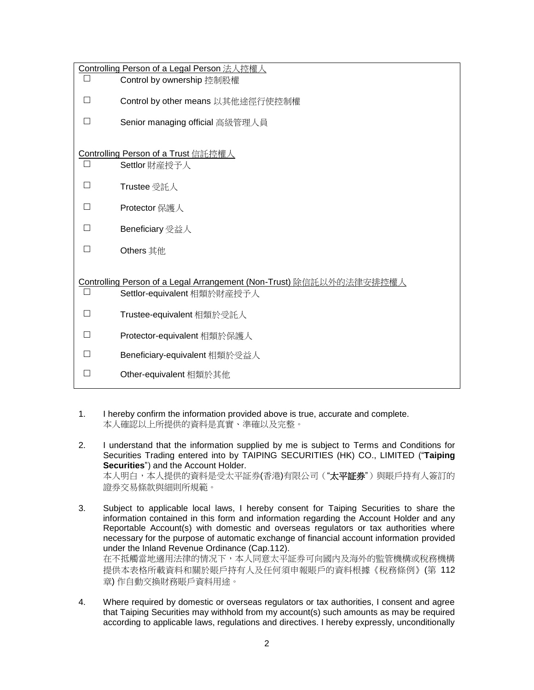|        | Controlling Person of a Legal Person 法人控權人                          |
|--------|---------------------------------------------------------------------|
| $\Box$ | Control by ownership 控制股權                                           |
|        | Control by other means 以其他途徑行使控制權                                   |
|        | Senior managing official 高級管理人員                                     |
|        | Controlling Person of a Trust 信託控權人                                 |
|        | Settlor 財産授予人                                                       |
| П      | Trustee 受託人                                                         |
|        | Protector 保護人                                                       |
|        | Beneficiary 受益人                                                     |
| ΙI     | Others 其他                                                           |
|        | Controlling Person of a Legal Arrangement (Non-Trust) 除信託以外的法律安排控權人 |
| $\Box$ | Settlor-equivalent 相類於財産授予人                                         |
| П      | Trustee-equivalent 相類於受託人                                           |
|        | Protector-equivalent 相類於保護人                                         |
|        | Beneficiary-equivalent 相類於受益人                                       |
| H      | Other-equivalent 相類於其他                                              |

- 1. I hereby confirm the information provided above is true, accurate and complete. 本人確認以上所提供的資料是真實、準確以及完整。
- 2. I understand that the information supplied by me is subject to Terms and Conditions for Securities Trading entered into by TAIPING SECURITIES (HK) CO., LIMITED ("**Taiping Securities**") and the Account Holder. 本人明白,本人提供的資料是受太平証券(香港)有限公司("**太平証券**")與賬戶持有人簽訂的 證券交易條款與細則所規範。
- 3. Subject to applicable local laws, I hereby consent for Taiping Securities to share the information contained in this form and information regarding the Account Holder and any Reportable Account(s) with domestic and overseas regulators or tax authorities where necessary for the purpose of automatic exchange of financial account information provided under the Inland Revenue Ordinance (Cap.112). 在不抵觸當地適用法律的情况下,本人同意太平証券可向國內及海外的監管機構或稅務機構 提供本表格所載資料和關於賬戶持有人及任何須申報賬戶的資料根據《稅務條例》(第 112 章) 作自動交換財務賬戶資料用途。
- 4. Where required by domestic or overseas regulators or tax authorities, I consent and agree that Taiping Securities may withhold from my account(s) such amounts as may be required according to applicable laws, regulations and directives. I hereby expressly, unconditionally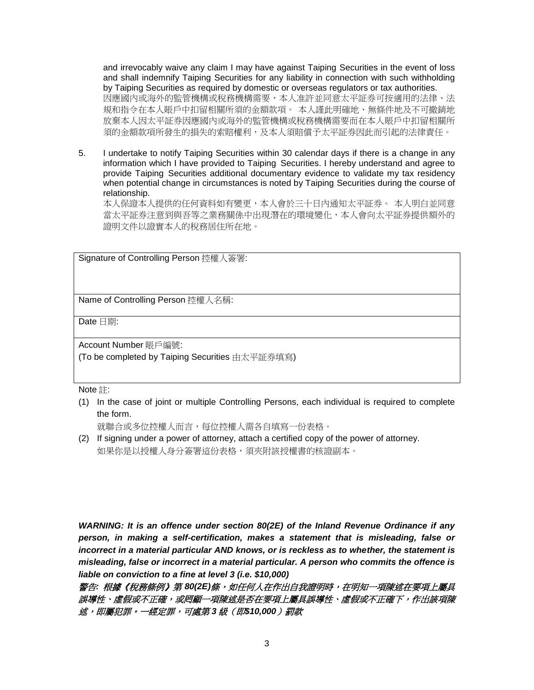and irrevocably waive any claim I may have against Taiping Securities in the event of loss and shall indemnify Taiping Securities for any liability in connection with such withholding by Taiping Securities as required by domestic or overseas regulators or tax authorities. 因應國內或海外的監管機構或稅務機構需要,本人准許並同意太平証券可按適用的法律、法 規和指令在本人賬戶中扣留相關所須的金額款項。 本人謹此明確地、無條件地及不可撤銷地 放棄本人因太平証券因應國內或海外的監管機構或稅務機構需要而在本人賬戶中扣留相關所 須的金額款項所發生的損失的索賠權利,及本人須賠償予太平証券因此而引起的法律責任。

5. I undertake to notify Taiping Securities within 30 calendar days if there is a change in any information which I have provided to Taiping Securities. I hereby understand and agree to provide Taiping Securities additional documentary evidence to validate my tax residency when potential change in circumstances is noted by Taiping Securities during the course of relationship.

本人保證本人提供的任何資料如有變更,本人會於三十日內通知太平証券。 本人明白並同意 當太平証券注意到與吾等之業務關係中出現潛在的環境變化,本人會向太平証券提供額外的 證明文件以證實本人的稅務居住所在地。

Signature of Controlling Person 控權人簽署:

Name of Controlling Person 控權人名稱:

Date 日期:

Account Number 賬戶編號:

(To be completed by Taiping Securities 由太平証券填寫)

Note 註:

(1) In the case of joint or multiple Controlling Persons, each individual is required to complete the form.

就聯合或多位控權人布官,每位控權人需各自填寫一份表格。

(2) If signing under a power of attorney, attach a certified copy of the power of attorney. 如果你是以授權人身分簽署這份表格,須來附該授權書的核證副本。

*WARNING: It is an offence under section 80(2E) of the Inland Revenue Ordinance if any person, in making a self-certification, makes a statement that is misleading, false or incorrect in a material particular AND knows, or is reckless as to whether, the statement is misleading, false or incorrect in a material particular. A person who commits the offence is liable on conviction to a fine at level 3 (i.e. \$10,000)* 

警告*:* 根據《稅務條例》第 *80(2E)*條,如任何人在作出自我證明時,在明知一項陳述在要項上屬具 誤導性、虛假或不正確,或罔顧一項陳述是否在要項上屬具誤導性、虛假或不正確下,作出該項陳 述,即屬犯罪。一經定罪,可處第 *3* 級(即*\$10,000*)罰款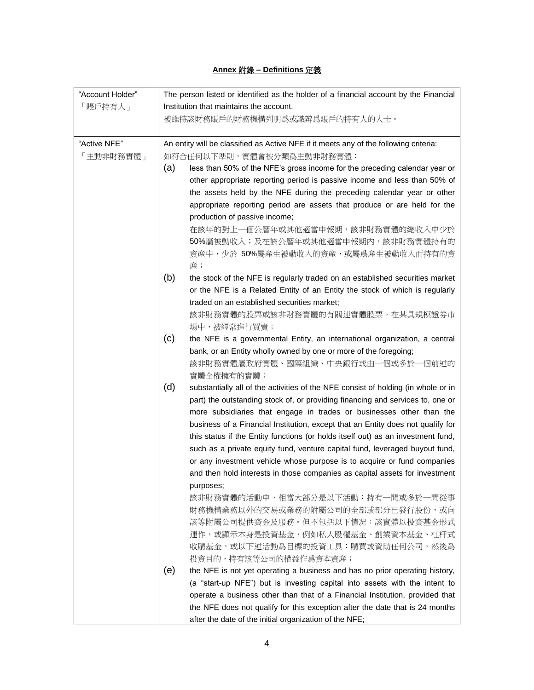## **Annex** 附錄 **– Definitions** 定義

| "Account Holder" | The person listed or identified as the holder of a financial account by the Financial    |  |  |
|------------------|------------------------------------------------------------------------------------------|--|--|
| 「賬戶持有人」          | Institution that maintains the account.                                                  |  |  |
|                  | 被維持該財務賬戶的財務機構列明爲或識辨爲賬戶的持有人的人士。                                                           |  |  |
|                  |                                                                                          |  |  |
| "Active NFE"     | An entity will be classified as Active NFE if it meets any of the following criteria:    |  |  |
| 「主動非財務實體」        | 如符合任何以下準則,實體會被分類爲主動非財務實體:                                                                |  |  |
|                  | (a)<br>less than 50% of the NFE's gross income for the preceding calendar year or        |  |  |
|                  | other appropriate reporting period is passive income and less than 50% of                |  |  |
|                  | the assets held by the NFE during the preceding calendar year or other                   |  |  |
|                  | appropriate reporting period are assets that produce or are held for the                 |  |  |
|                  | production of passive income;                                                            |  |  |
|                  | 在該年的對上一個公曆年或其他適當申報期,該非財務實體的總收入中少於                                                        |  |  |
|                  | 50%屬被動收入;及在該公曆年或其他適當申報期內,該非財務實體持有的                                                       |  |  |
|                  | 資産中,少於 50%屬産生被動收入的資産,或屬爲産生被動收入而持有的資                                                      |  |  |
|                  | 産;                                                                                       |  |  |
|                  | (b)<br>the stock of the NFE is regularly traded on an established securities market      |  |  |
|                  | or the NFE is a Related Entity of an Entity the stock of which is regularly              |  |  |
|                  | traded on an established securities market;                                              |  |  |
|                  | 該非財務實體的股票或該非財務實體的有關連實體股票,在某具規模證券市                                                        |  |  |
|                  | 場中,被經常進行買賣;                                                                              |  |  |
|                  | (c)<br>the NFE is a governmental Entity, an international organization, a central        |  |  |
|                  | bank, or an Entity wholly owned by one or more of the foregoing;                         |  |  |
|                  | 該非財務實體屬政府實體、國際組織、中央銀行或由一個或多於一個前述的                                                        |  |  |
|                  | 實體全權擁有的實體;                                                                               |  |  |
|                  | (d)<br>substantially all of the activities of the NFE consist of holding (in whole or in |  |  |
|                  | part) the outstanding stock of, or providing financing and services to, one or           |  |  |
|                  | more subsidiaries that engage in trades or businesses other than the                     |  |  |
|                  | business of a Financial Institution, except that an Entity does not qualify for          |  |  |
|                  | this status if the Entity functions (or holds itself out) as an investment fund,         |  |  |
|                  | such as a private equity fund, venture capital fund, leveraged buyout fund,              |  |  |
|                  | or any investment vehicle whose purpose is to acquire or fund companies                  |  |  |
|                  | and then hold interests in those companies as capital assets for investment              |  |  |
|                  | purposes;                                                                                |  |  |
|                  | 該非財務實體的活動中,相當大部分是以下活動:持有一間或多於一間從事                                                        |  |  |
|                  | 財務機構業務以外的交易或業務的附屬公司的全部或部分已發行股份,或向                                                        |  |  |
|                  | 該等附屬公司提供資金及服務。但不包括以下情况:該實體以投資基金形式                                                        |  |  |
|                  | 運作,或顯示本身是投資基金,例如私人股權基金、創業資本基金、杠杆式                                                        |  |  |
|                  | 收購基金,或以下述活動爲目標的投資工具:購買或資助任何公司,然後爲                                                        |  |  |
|                  | 投資目的,持有該等公司的權益作爲資本資産;                                                                    |  |  |
|                  | (e)<br>the NFE is not yet operating a business and has no prior operating history,       |  |  |
|                  | (a "start-up NFE") but is investing capital into assets with the intent to               |  |  |
|                  | operate a business other than that of a Financial Institution, provided that             |  |  |
|                  | the NFE does not qualify for this exception after the date that is 24 months             |  |  |
|                  | after the date of the initial organization of the NFE;                                   |  |  |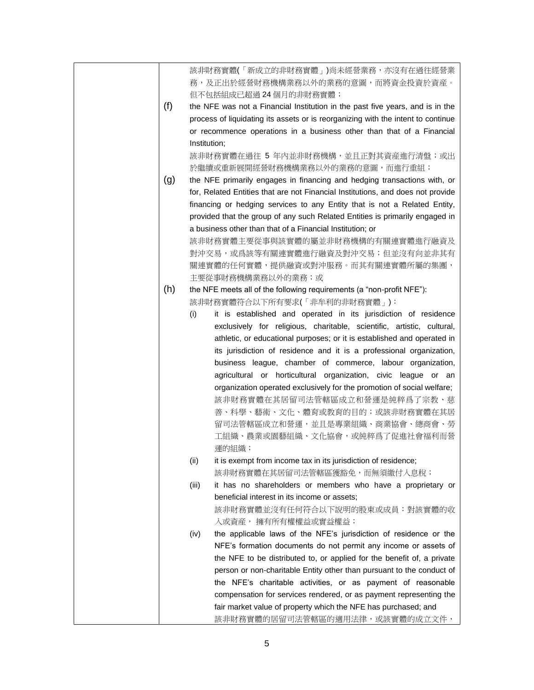|     | 該非財務實體(「新成立的非財務實體」)尚未經營業務,亦沒有在過往經營業                                                                                                      |
|-----|------------------------------------------------------------------------------------------------------------------------------------------|
|     | 務,及正出於經營財務機構業務以外的業務的意圖,而將資金投資於資産。                                                                                                        |
|     | 但不包括組成已超過24個月的非財務實體;                                                                                                                     |
| (f) | the NFE was not a Financial Institution in the past five years, and is in the                                                            |
|     | process of liquidating its assets or is reorganizing with the intent to continue                                                         |
|     | or recommence operations in a business other than that of a Financial                                                                    |
|     | Institution;                                                                                                                             |
|     | 該非財務實體在過往 5 年内並非財務機構,並且正對其資産進行清盤;或出                                                                                                      |
|     | 於繼續或重新展開經營財務機構業務以外的業務的意圖,而進行重組;                                                                                                          |
| (g) | the NFE primarily engages in financing and hedging transactions with, or                                                                 |
|     | for, Related Entities that are not Financial Institutions, and does not provide                                                          |
|     | financing or hedging services to any Entity that is not a Related Entity,                                                                |
|     | provided that the group of any such Related Entities is primarily engaged in                                                             |
|     | a business other than that of a Financial Institution; or                                                                                |
|     | 該非財務實體主要從事與該實體的屬並非財務機構的有關連實體進行融資及                                                                                                        |
|     | 對沖交易,或爲該等有關連實體進行融資及對沖交易;但並沒有向並非其有                                                                                                        |
|     | 關連實體的任何實體,提供融資或對沖服務。而其有關連實體所屬的集團,                                                                                                        |
|     | 主要從事財務機構業務以外的業務;或                                                                                                                        |
| (h) | the NFE meets all of the following requirements (a "non-profit NFE"):                                                                    |
|     | 該非財務實體符合以下所有要求(「非牟利的非財務實體」):                                                                                                             |
|     | (i)<br>it is established and operated in its jurisdiction of residence                                                                   |
|     | exclusively for religious, charitable, scientific, artistic, cultural,                                                                   |
|     | athletic, or educational purposes; or it is established and operated in                                                                  |
|     | its jurisdiction of residence and it is a professional organization,                                                                     |
|     | business league, chamber of commerce, labour organization,                                                                               |
|     |                                                                                                                                          |
|     | agricultural or horticultural organization, civic league or an<br>organization operated exclusively for the promotion of social welfare; |
|     |                                                                                                                                          |
|     | 該非財務實體在其居留司法管轄區成立和營運是純粹爲了宗教、慈                                                                                                            |
|     | 善、科學、藝術、文化、體育或教育的目的;或該非財務實體在其居                                                                                                           |
|     | 留司法管轄區成立和營運,並且是專業組織、商業協會、總商會、勞                                                                                                           |
|     | 工組織、農業或園藝組織、文化協會,或純粹爲了促進社會福利而營                                                                                                           |
|     | 運的組織;                                                                                                                                    |
|     | (ii)<br>it is exempt from income tax in its jurisdiction of residence;                                                                   |
|     | 該非財務實體在其居留司法管轄區獲豁免,而無須繳付入息稅;                                                                                                             |
|     | (iii)<br>it has no shareholders or members who have a proprietary or                                                                     |
|     | beneficial interest in its income or assets;                                                                                             |
|     | 該非財務實體並沒有任何符合以下說明的股東或成員:對該實體的收                                                                                                           |
|     | 入或資産, 擁有所有權權益或實益權益;                                                                                                                      |
|     | the applicable laws of the NFE's jurisdiction of residence or the<br>(iv)                                                                |
|     | NFE's formation documents do not permit any income or assets of                                                                          |
|     | the NFE to be distributed to, or applied for the benefit of, a private                                                                   |
|     | person or non-charitable Entity other than pursuant to the conduct of                                                                    |
|     | the NFE's charitable activities, or as payment of reasonable                                                                             |
|     | compensation for services rendered, or as payment representing the                                                                       |
|     | fair market value of property which the NFE has purchased; and                                                                           |
|     | 該非財務實體的居留司法管轄區的適用法律,或該實體的成立文件,                                                                                                           |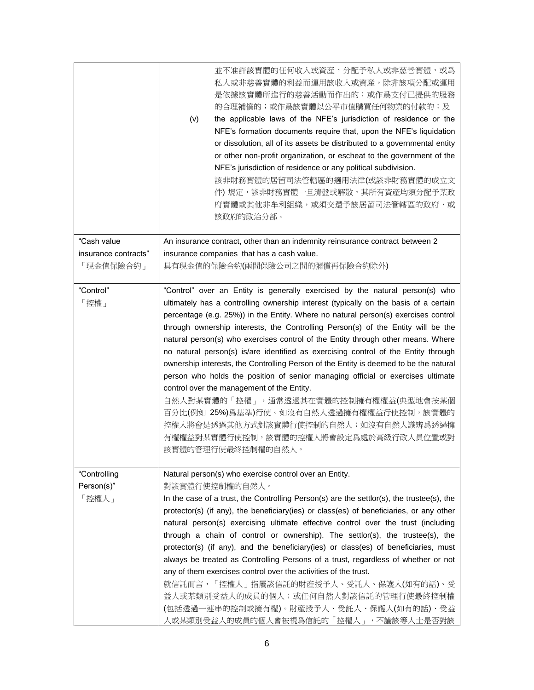|                                     | 並不准許該實體的任何收入或資産,分配予私人或非慈善實體,或爲<br>私人或非慈善實體的利益而運用該收入或資産,除非該項分配或運用<br>是依據該實體所進行的慈善活動而作出的;或作爲支付已提供的服務<br>的合理補償的;或作爲該實體以公平市值購買任何物業的付款的;及<br>the applicable laws of the NFE's jurisdiction of residence or the<br>(v)<br>NFE's formation documents require that, upon the NFE's liquidation<br>or dissolution, all of its assets be distributed to a governmental entity<br>or other non-profit organization, or escheat to the government of the<br>NFE's jurisdiction of residence or any political subdivision.<br>該非財務實體的居留司法管轄區的適用法律(或該非財務實體的成立文<br>件) 規定,該非財務實體一旦清盤或解散,其所有資産均須分配予某政<br>府實體或其他非牟利組織,或須交還予該居留司法管轄區的政府,或<br>該政府的政治分部。                                                                                                                                                                                                                                                                                                             |
|-------------------------------------|-------------------------------------------------------------------------------------------------------------------------------------------------------------------------------------------------------------------------------------------------------------------------------------------------------------------------------------------------------------------------------------------------------------------------------------------------------------------------------------------------------------------------------------------------------------------------------------------------------------------------------------------------------------------------------------------------------------------------------------------------------------------------------------------------------------------------------------------------------------------------------------------------------------------------------------------------|
| "Cash value                         | An insurance contract, other than an indemnity reinsurance contract between 2                                                                                                                                                                                                                                                                                                                                                                                                                                                                                                                                                                                                                                                                                                                                                                                                                                                                   |
| insurance contracts"<br>「現金值保險合約」   | insurance companies that has a cash value.<br>具有現金值的保險合約(兩間保險公司之間的彌償再保險合約除外)                                                                                                                                                                                                                                                                                                                                                                                                                                                                                                                                                                                                                                                                                                                                                                                                                                                                    |
|                                     |                                                                                                                                                                                                                                                                                                                                                                                                                                                                                                                                                                                                                                                                                                                                                                                                                                                                                                                                                 |
| "Control"<br>「控權」                   | "Control" over an Entity is generally exercised by the natural person(s) who<br>ultimately has a controlling ownership interest (typically on the basis of a certain<br>percentage (e.g. 25%)) in the Entity. Where no natural person(s) exercises control<br>through ownership interests, the Controlling Person(s) of the Entity will be the<br>natural person(s) who exercises control of the Entity through other means. Where<br>no natural person(s) is/are identified as exercising control of the Entity through<br>ownership interests, the Controlling Person of the Entity is deemed to be the natural<br>person who holds the position of senior managing official or exercises ultimate<br>control over the management of the Entity.<br>自然人對某實體的「控權」,通常透過其在實體的控制擁有權權益(典型地會按某個<br>百分比(例如 25%)為基準)行使。如沒有自然人透過擁有權權益行使控制,該實體的<br>控權人將會是透過其他方式對該實體行使控制的自然人;如沒有自然人識辨爲透過擁<br>有權權益對某實體行使控制,該實體的控權人將會設定爲處於高級行政人員位置或對<br>該實體的管理行使最終控制權的自然人。 |
| "Controlling<br>Person(s)"<br>「控權人」 | Natural person(s) who exercise control over an Entity.<br>對該實體行使控制權的自然人。<br>In the case of a trust, the Controlling Person(s) are the settlor(s), the trustee(s), the<br>protector(s) (if any), the beneficiary(ies) or class(es) of beneficiaries, or any other<br>natural person(s) exercising ultimate effective control over the trust (including<br>through a chain of control or ownership). The settlor(s), the trustee(s), the<br>protector(s) (if any), and the beneficiary(ies) or class(es) of beneficiaries, must<br>always be treated as Controlling Persons of a trust, regardless of whether or not<br>any of them exercises control over the activities of the trust.<br>就信託而言,「控權人」指屬該信託的財産授予人、受託人、保護人(如有的話)、受<br>益人或某類別受益人的成員的個人;或任何自然人對該信託的管理行使最終控制權<br>(包括透過一連串的控制或擁有權)。財産授予人、受託人、保護人(如有的話)、受益                                                                                                                              |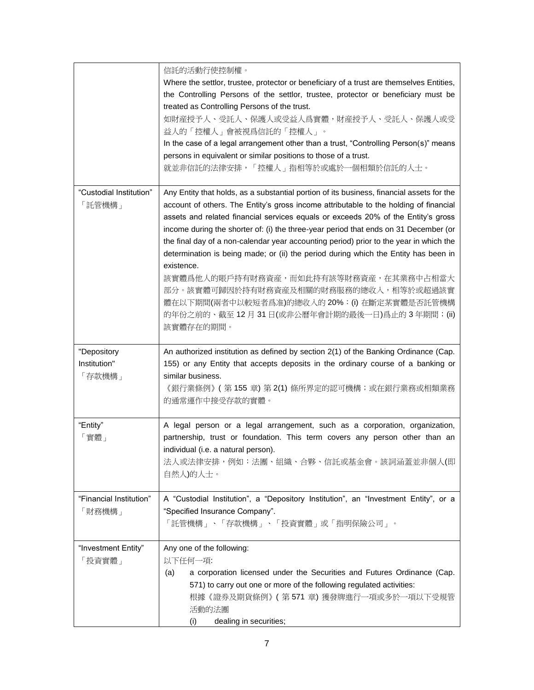|                                       | 信託的活動行使控制權。<br>Where the settlor, trustee, protector or beneficiary of a trust are themselves Entities,<br>the Controlling Persons of the settlor, trustee, protector or beneficiary must be<br>treated as Controlling Persons of the trust.<br>如財産授予人、受託人、保護人或受益人爲實體,財産授予人、受託人、保護人或受<br>益人的「控權人」會被視爲信託的「控權人」。<br>In the case of a legal arrangement other than a trust, "Controlling Person(s)" means<br>persons in equivalent or similar positions to those of a trust.<br>就並非信託的法律安排,「控權人」指相等於或處於一個相類於信託的人士。                                                                                                                                                                                                                                                  |
|---------------------------------------|------------------------------------------------------------------------------------------------------------------------------------------------------------------------------------------------------------------------------------------------------------------------------------------------------------------------------------------------------------------------------------------------------------------------------------------------------------------------------------------------------------------------------------------------------------------------------------------------------------------------------------------------------------------------------------------------------------------------------------------------------------------|
| "Custodial Institution"<br>「託管機構」     | Any Entity that holds, as a substantial portion of its business, financial assets for the<br>account of others. The Entity's gross income attributable to the holding of financial<br>assets and related financial services equals or exceeds 20% of the Entity's gross<br>income during the shorter of: (i) the three-year period that ends on 31 December (or<br>the final day of a non-calendar year accounting period) prior to the year in which the<br>determination is being made; or (ii) the period during which the Entity has been in<br>existence.<br>該實體爲他人的賬戶持有財務資産,而如此持有該等財務資産,在其業務中占相當大<br>部分。該實體可歸因於持有財務資産及相關的財務服務的總收入,相等於或超過該實<br>體在以下期間(兩者中以較短者爲准)的總收入的20%: (i) 在斷定某實體是否託管機構<br>的年份之前的、截至 12 月 31 日(或非公曆年會計期的最後一日)爲止的 3 年期間;(ii)<br>該實體存在的期間。 |
| "Depository<br>Institution"<br>「存款機構」 | An authorized institution as defined by section 2(1) of the Banking Ordinance (Cap.<br>155) or any Entity that accepts deposits in the ordinary course of a banking or<br>similar business.<br>《銀行業條例》 ( 第 155 章) 第 2(1) 條所界定的認可機構;或在銀行業務或相類業務<br>的通常運作中接受存款的實體。                                                                                                                                                                                                                                                                                                                                                                                                                                                                                                 |
| "Entity"<br>「實體」                      | A legal person or a legal arrangement, such as a corporation, organization,<br>partnership, trust or foundation. This term covers any person other than an<br>individual (i.e. a natural person).<br>法人或法律安排,例如:法團、組織、合夥、信託或基金會。該詞涵蓋並非個人(即<br>自然人)的人士。                                                                                                                                                                                                                                                                                                                                                                                                                                                                                                           |
| "Financial Institution"<br>「財務機構」     | A "Custodial Institution", a "Depository Institution", an "Investment Entity", or a<br>"Specified Insurance Company".<br>「託管機構」、「存款機構」、「投資實體」或「指明保險公司」。                                                                                                                                                                                                                                                                                                                                                                                                                                                                                                                                                                                                          |
| "Investment Entity"<br>「投資實體」         | Any one of the following:<br>以下任何一項:<br>a corporation licensed under the Securities and Futures Ordinance (Cap.<br>(a)<br>571) to carry out one or more of the following regulated activities:<br>根據《證券及期貨條例》 (第571章) 獲發牌進行一項或多於一項以下受規管<br>活動的法團<br>(i)<br>dealing in securities;                                                                                                                                                                                                                                                                                                                                                                                                                                                                                |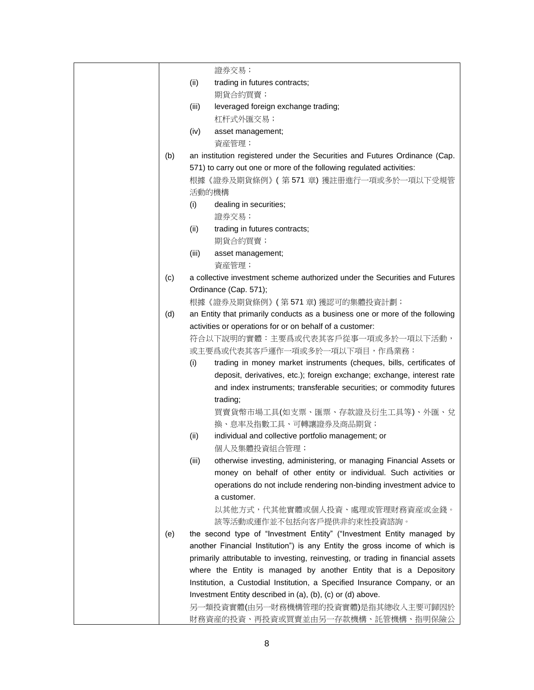|       | 證券交易;                                                                            |
|-------|----------------------------------------------------------------------------------|
| (ii)  | trading in futures contracts;                                                    |
|       | 期貨合約買賣;                                                                          |
| (iii) | leveraged foreign exchange trading;                                              |
|       | 杠杆式外匯交易;                                                                         |
| (iv)  | asset management;                                                                |
|       | 資産管理;                                                                            |
| (b)   | an institution registered under the Securities and Futures Ordinance (Cap.       |
|       | 571) to carry out one or more of the following regulated activities:             |
|       | 根據《證券及期貨條例》(第571章)獲註冊進行一項或多於一項以下受規管                                              |
|       | 活動的機構                                                                            |
| (i)   | dealing in securities;                                                           |
|       | 證券交易;                                                                            |
| (ii)  | trading in futures contracts;                                                    |
|       | 期貨合約買賣;                                                                          |
| (iii) | asset management;                                                                |
|       | 資産管理;                                                                            |
| (c)   | a collective investment scheme authorized under the Securities and Futures       |
|       | Ordinance (Cap. 571);                                                            |
|       | 根據《證券及期貨條例》(第571章)獲認可的集體投資計劃;                                                    |
| (d)   | an Entity that primarily conducts as a business one or more of the following     |
|       | activities or operations for or on behalf of a customer:                         |
|       | 符合以下說明的實體:主要爲或代表其客戶從事一項或多於一項以下活動,                                                |
|       | 或主要爲或代表其客戶運作一項或多於一項以下項目,作爲業務:                                                    |
| (i)   | trading in money market instruments (cheques, bills, certificates of             |
|       | deposit, derivatives, etc.); foreign exchange; exchange, interest rate           |
|       | and index instruments; transferable securities; or commodity futures             |
|       | trading;                                                                         |
|       | 買賣貨幣市場工具(如支票、匯票、存款證及衍生工具等)、外匯、兌                                                  |
|       | 換、息率及指數工具、可轉讓證券及商品期貨;                                                            |
| (ii)  | individual and collective portfolio management; or                               |
|       | 個人及集體投資組合管理;                                                                     |
| (iii) | otherwise investing, administering, or managing Financial Assets or              |
|       | money on behalf of other entity or individual. Such activities or                |
|       | operations do not include rendering non-binding investment advice to             |
|       | a customer.                                                                      |
|       | 以其他方式,代其他實體或個人投資、處理或管理財務資産或金錢。                                                   |
|       | 該等活動或運作並不包括向客戶提供非約束性投資諮詢。                                                        |
| (e)   | the second type of "Investment Entity" ("Investment Entity managed by            |
|       | another Financial Institution") is any Entity the gross income of which is       |
|       | primarily attributable to investing, reinvesting, or trading in financial assets |
|       | where the Entity is managed by another Entity that is a Depository               |
|       | Institution, a Custodial Institution, a Specified Insurance Company, or an       |
|       | Investment Entity described in (a), (b), (c) or (d) above.                       |
|       | 另一類投資實體(由另一財務機構管理的投資實體)是指其總收入主要可歸因於                                              |
|       | 財務資産的投資、再投資或買賣並由另一存款機構、託管機構、指明保險公                                                |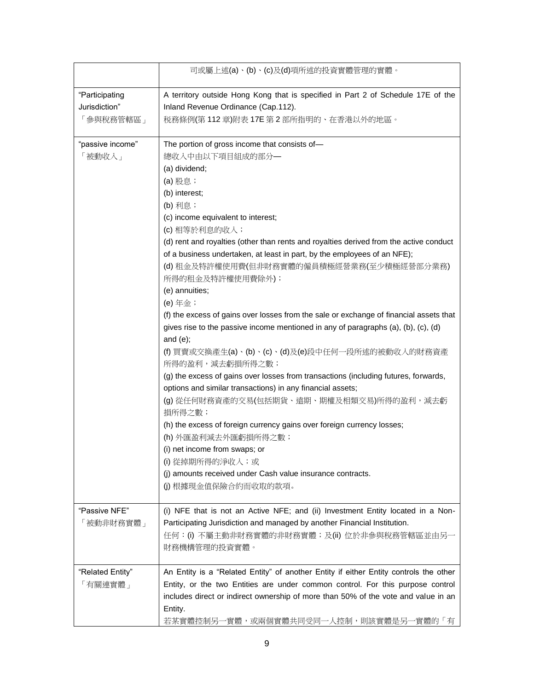|                  | 司或屬上述(a)、(b)、(c)及(d)項所述的投資實體管理的實體。                                                     |
|------------------|----------------------------------------------------------------------------------------|
| "Participating   | A territory outside Hong Kong that is specified in Part 2 of Schedule 17E of the       |
| Jurisdiction"    | Inland Revenue Ordinance (Cap.112).                                                    |
| 「參與稅務管轄區」        | 税務條例(第112章)附表17E 第2部所指明的、在香港以外的地區。                                                     |
| "passive income" | The portion of gross income that consists of-                                          |
| 「被動收入」           | 總收入中由以下項目組成的部分–                                                                        |
|                  | (a) dividend;                                                                          |
|                  | (a) 股息;                                                                                |
|                  | (b) interest;                                                                          |
|                  | (b) 利息;                                                                                |
|                  | (c) income equivalent to interest;                                                     |
|                  | (c) 相等於利息的收入;                                                                          |
|                  | (d) rent and royalties (other than rents and royalties derived from the active conduct |
|                  | of a business undertaken, at least in part, by the employees of an NFE);               |
|                  | (d) 租金及特許權使用費(但非財務實體的僱員積極經營業務(至少積極經營部分業務)<br>所得的租金及特許權使用費除外);                          |
|                  | (e) annuities;                                                                         |
|                  | (e) 年金;                                                                                |
|                  | (f) the excess of gains over losses from the sale or exchange of financial assets that |
|                  | gives rise to the passive income mentioned in any of paragraphs (a), (b), (c), (d)     |
|                  | and $(e)$ ;                                                                            |
|                  | (f) 買賣或交換產生(a)、(b)、(c)、(d)及(e)段中任何一段所述的被動收入的財務資產<br>所得的盈利,減去虧損所得之數;                    |
|                  | (g) the excess of gains over losses from transactions (including futures, forwards,    |
|                  | options and similar transactions) in any financial assets;                             |
|                  | (g) 從任何財務資產的交易(包括期貨、遠期、期權及相類交易)所得的盈利,減去虧<br>損所得之數;                                     |
|                  | (h) the excess of foreign currency gains over foreign currency losses;                 |
|                  | (h) 外匯盈利減去外匯虧損所得之數;                                                                    |
|                  | (i) net income from swaps; or                                                          |
|                  | (i) 從掉期所得的淨收入;或                                                                        |
|                  | (j) amounts received under Cash value insurance contracts.                             |
|                  | (j) 根據現金值保險合約而收取的款項。                                                                   |
| "Passive NFE"    | (i) NFE that is not an Active NFE; and (ii) Investment Entity located in a Non-        |
| 「被動非財務實體」        | Participating Jurisdiction and managed by another Financial Institution.               |
|                  | 任何:(i) 不屬主動非財務實體的非財務實體;及(ii) 位於非參與稅務管轄區並由另一                                            |
|                  | 財務機構管理的投資實體。                                                                           |
| "Related Entity" | An Entity is a "Related Entity" of another Entity if either Entity controls the other  |
| 「有關連實體」          | Entity, or the two Entities are under common control. For this purpose control         |
|                  | includes direct or indirect ownership of more than 50% of the vote and value in an     |
|                  | Entity.                                                                                |
|                  | 若某實體控制另一實體,或兩個實體共同受同一人控制,則該實體是另一實體的「有                                                  |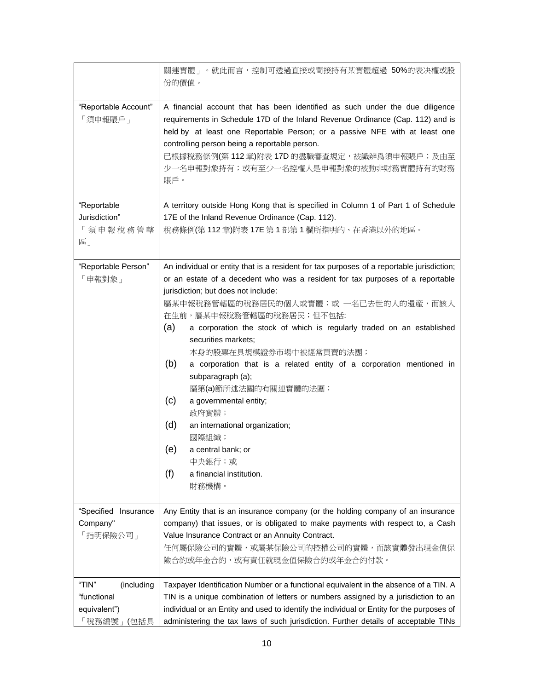|                                                                 | 關連實體」。就此而言,控制可透過直接或間接持有某實體超過 50%的表决權或股<br>份的價值。                                                                                                                                                                                                                                                                                                                                                                                                                                                                                                                                                                                                                                                                                       |
|-----------------------------------------------------------------|---------------------------------------------------------------------------------------------------------------------------------------------------------------------------------------------------------------------------------------------------------------------------------------------------------------------------------------------------------------------------------------------------------------------------------------------------------------------------------------------------------------------------------------------------------------------------------------------------------------------------------------------------------------------------------------------------------------------------------------|
| "Reportable Account"<br>「須申報賬戶」                                 | A financial account that has been identified as such under the due diligence<br>requirements in Schedule 17D of the Inland Revenue Ordinance (Cap. 112) and is<br>held by at least one Reportable Person; or a passive NFE with at least one<br>controlling person being a reportable person.<br>已根據稅務條例(第 112 章)附表 17D 的盡職審查規定,被識辨爲須申報賬戶;及由至<br>少一名申報對象持有;或有至少一名控權人是申報對象的被動非財務實體持有的財務<br>賬戶。                                                                                                                                                                                                                                                                                                                                         |
| "Reportable<br>Jurisdiction"<br>「須申報稅務管轄<br>區」                  | A territory outside Hong Kong that is specified in Column 1 of Part 1 of Schedule<br>17E of the Inland Revenue Ordinance (Cap. 112).<br>稅務條例(第112章)附表 17E 第1部第1欄所指明的、在香港以外的地區。                                                                                                                                                                                                                                                                                                                                                                                                                                                                                                                                                        |
| "Reportable Person"<br>「申報對象」                                   | An individual or entity that is a resident for tax purposes of a reportable jurisdiction;<br>or an estate of a decedent who was a resident for tax purposes of a reportable<br>jurisdiction; but does not include:<br>屬某申報稅務管轄區的稅務居民的個人或實體;或 一名已去世的人的遺産,而該人<br>在生前,屬某申報稅務管轄區的稅務居民;但不包括:<br>(a)<br>a corporation the stock of which is regularly traded on an established<br>securities markets;<br>本身的股票在具規模證券市場中被經常買賣的法團;<br>(b)<br>a corporation that is a related entity of a corporation mentioned in<br>subparagraph (a);<br>屬第(a)節所述法團的有關連實體的法團;<br>(c)<br>a governmental entity;<br>政府實體;<br>(d)<br>an international organization;<br>國際組織;<br>(e)<br>a central bank; or<br>中央銀行;或<br>(f)<br>a financial institution.<br>財務機構。 |
| "Specified<br>Insurance<br>Company"<br>「指明保險公司」                 | Any Entity that is an insurance company (or the holding company of an insurance<br>company) that issues, or is obligated to make payments with respect to, a Cash<br>Value Insurance Contract or an Annuity Contract.<br>任何屬保險公司的實體,或屬某保險公司的控權公司的實體,而該實體發出現金值保<br>險合約或年金合約,或有責任就現金值保險合約或年金合約付款。                                                                                                                                                                                                                                                                                                                                                                                                                                       |
| "TIN"<br>(including<br>"functional<br>equivalent")<br>税務編號」(包括具 | Taxpayer Identification Number or a functional equivalent in the absence of a TIN. A<br>TIN is a unique combination of letters or numbers assigned by a jurisdiction to an<br>individual or an Entity and used to identify the individual or Entity for the purposes of<br>administering the tax laws of such jurisdiction. Further details of acceptable TINs                                                                                                                                                                                                                                                                                                                                                                        |